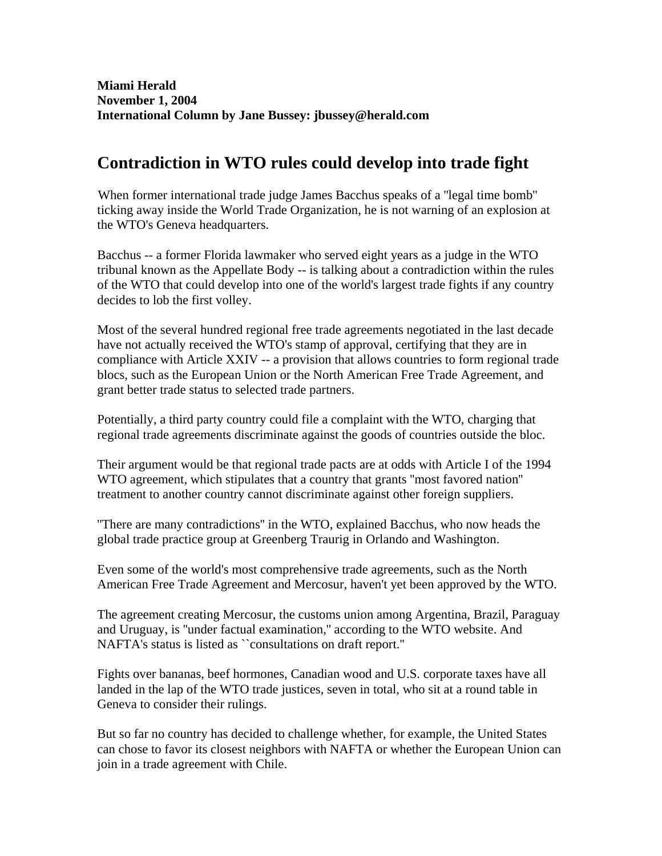## **Contradiction in WTO rules could develop into trade fight**

When former international trade judge James Bacchus speaks of a ''legal time bomb'' ticking away inside the World Trade Organization, he is not warning of an explosion at the WTO's Geneva headquarters.

Bacchus -- a former Florida lawmaker who served eight years as a judge in the WTO tribunal known as the Appellate Body -- is talking about a contradiction within the rules of the WTO that could develop into one of the world's largest trade fights if any country decides to lob the first volley.

Most of the several hundred regional free trade agreements negotiated in the last decade have not actually received the WTO's stamp of approval, certifying that they are in compliance with Article XXIV -- a provision that allows countries to form regional trade blocs, such as the European Union or the North American Free Trade Agreement, and grant better trade status to selected trade partners.

Potentially, a third party country could file a complaint with the WTO, charging that regional trade agreements discriminate against the goods of countries outside the bloc.

Their argument would be that regional trade pacts are at odds with Article I of the 1994 WTO agreement, which stipulates that a country that grants ''most favored nation'' treatment to another country cannot discriminate against other foreign suppliers.

''There are many contradictions'' in the WTO, explained Bacchus, who now heads the global trade practice group at Greenberg Traurig in Orlando and Washington.

Even some of the world's most comprehensive trade agreements, such as the North American Free Trade Agreement and Mercosur, haven't yet been approved by the WTO.

The agreement creating Mercosur, the customs union among Argentina, Brazil, Paraguay and Uruguay, is ''under factual examination,'' according to the WTO website. And NAFTA's status is listed as ``consultations on draft report.''

Fights over bananas, beef hormones, Canadian wood and U.S. corporate taxes have all landed in the lap of the WTO trade justices, seven in total, who sit at a round table in Geneva to consider their rulings.

But so far no country has decided to challenge whether, for example, the United States can chose to favor its closest neighbors with NAFTA or whether the European Union can join in a trade agreement with Chile.